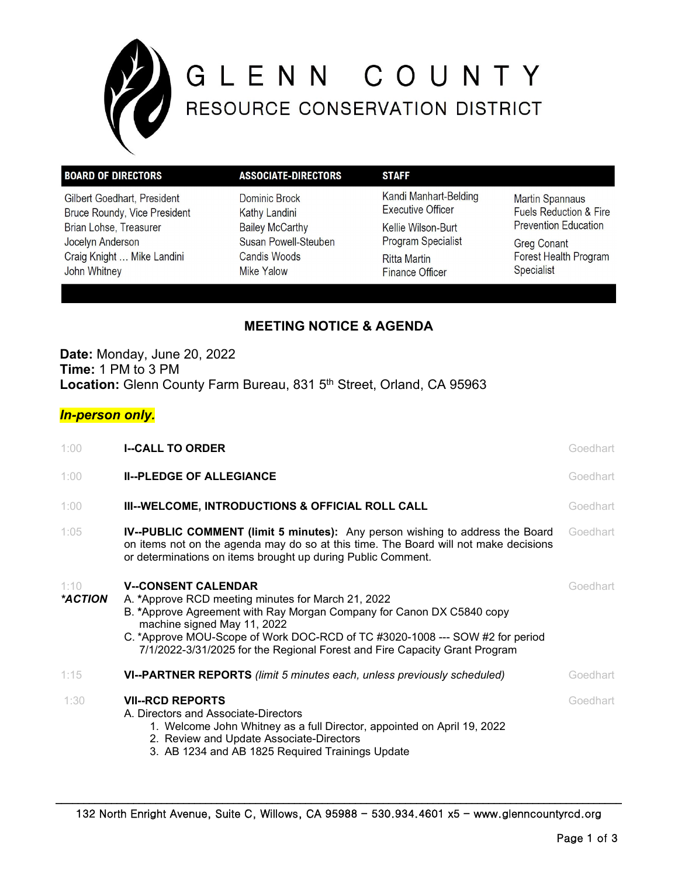

# GLENN COUNTY

| <b>BOARD OF DIRECTORS</b>                                                | <b>ASSOCIATE-DIRECTORS</b>                                            | <b>STAFF</b>                                                           |                                                                                                                                           |
|--------------------------------------------------------------------------|-----------------------------------------------------------------------|------------------------------------------------------------------------|-------------------------------------------------------------------------------------------------------------------------------------------|
| Gilbert Goedhart, President<br>Bruce Roundy, Vice President              | Dominic Brock<br><b>Kathy Landini</b>                                 | Kandi Manhart-Belding<br><b>Executive Officer</b>                      | <b>Martin Spannaus</b><br><b>Fuels Reduction &amp; Fire</b><br><b>Prevention Education</b><br><b>Greg Conant</b><br>Forest Health Program |
| Brian Lohse, Treasurer<br>Jocelyn Anderson<br>Craig Knight  Mike Landini | <b>Bailey McCarthy</b><br>Susan Powell-Steuben<br><b>Candis Woods</b> | Kellie Wilson-Burt<br><b>Program Specialist</b><br><b>Ritta Martin</b> |                                                                                                                                           |
| John Whitney                                                             | <b>Mike Yalow</b>                                                     | <b>Finance Officer</b>                                                 | <b>Specialist</b>                                                                                                                         |

# **MEETING NOTICE & AGENDA**

**Date:** Monday, June 20, 2022 **Time:** 1 PM to 3 PM Location: Glenn County Farm Bureau, 831 5<sup>th</sup> Street, Orland, CA 95963

## *In-person only.*

| 1:00                   | <b>I--CALL TO ORDER</b>                                                                                                                                                                                                                                                                                                                                | Goedhart |
|------------------------|--------------------------------------------------------------------------------------------------------------------------------------------------------------------------------------------------------------------------------------------------------------------------------------------------------------------------------------------------------|----------|
| 1:00                   | <b>II--PLEDGE OF ALLEGIANCE</b>                                                                                                                                                                                                                                                                                                                        | Goedhart |
| 1:00                   | III--WELCOME, INTRODUCTIONS & OFFICIAL ROLL CALL                                                                                                                                                                                                                                                                                                       | Goedhart |
| 1:05                   | <b>IV--PUBLIC COMMENT (limit 5 minutes):</b> Any person wishing to address the Board<br>on items not on the agenda may do so at this time. The Board will not make decisions<br>or determinations on items brought up during Public Comment.                                                                                                           | Goedhart |
| 1:10<br><i>*ACTION</i> | <b>V--CONSENT CALENDAR</b><br>A. *Approve RCD meeting minutes for March 21, 2022<br>B. *Approve Agreement with Ray Morgan Company for Canon DX C5840 copy<br>machine signed May 11, 2022<br>C. *Approve MOU-Scope of Work DOC-RCD of TC #3020-1008 --- SOW #2 for period<br>7/1/2022-3/31/2025 for the Regional Forest and Fire Capacity Grant Program | Goedhart |
| 1:15                   | VI--PARTNER REPORTS (limit 5 minutes each, unless previously scheduled)                                                                                                                                                                                                                                                                                | Goedhart |
| 1:30                   | <b>VII--RCD REPORTS</b><br>A. Directors and Associate-Directors<br>1. Welcome John Whitney as a full Director, appointed on April 19, 2022<br>2. Review and Update Associate-Directors<br>3. AB 1234 and AB 1825 Required Trainings Update                                                                                                             | Goedhart |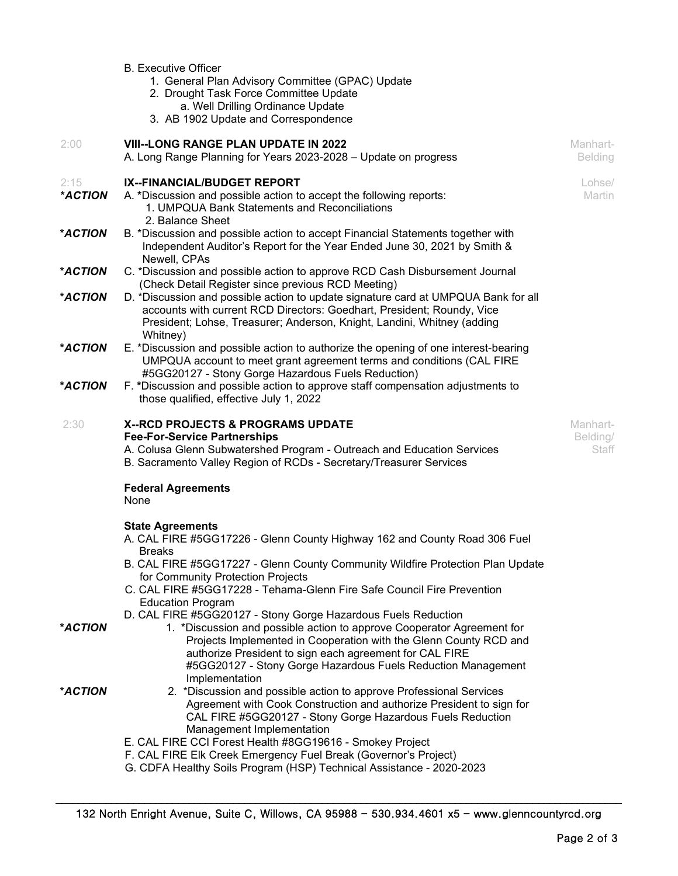|                 | <b>B.</b> Executive Officer<br>1. General Plan Advisory Committee (GPAC) Update<br>2. Drought Task Force Committee Update                                                                                                                                                                          |                               |
|-----------------|----------------------------------------------------------------------------------------------------------------------------------------------------------------------------------------------------------------------------------------------------------------------------------------------------|-------------------------------|
|                 | a. Well Drilling Ordinance Update<br>3. AB 1902 Update and Correspondence                                                                                                                                                                                                                          |                               |
| 2:00            | <b>VIII--LONG RANGE PLAN UPDATE IN 2022</b><br>A. Long Range Planning for Years 2023-2028 - Update on progress                                                                                                                                                                                     | Manhart-<br><b>Belding</b>    |
| 2:15<br>*ACTION | IX--FINANCIAL/BUDGET REPORT<br>A. *Discussion and possible action to accept the following reports:<br>1. UMPQUA Bank Statements and Reconciliations<br>2. Balance Sheet                                                                                                                            | Lohse/<br>Martin              |
| *ACTION         | B. *Discussion and possible action to accept Financial Statements together with<br>Independent Auditor's Report for the Year Ended June 30, 2021 by Smith &<br>Newell, CPAs                                                                                                                        |                               |
| *ACTION         | C. *Discussion and possible action to approve RCD Cash Disbursement Journal<br>(Check Detail Register since previous RCD Meeting)                                                                                                                                                                  |                               |
| *ACTION         | D. *Discussion and possible action to update signature card at UMPQUA Bank for all<br>accounts with current RCD Directors: Goedhart, President; Roundy, Vice<br>President; Lohse, Treasurer; Anderson, Knight, Landini, Whitney (adding<br>Whitney)                                                |                               |
| *ACTION         | E. *Discussion and possible action to authorize the opening of one interest-bearing<br>UMPQUA account to meet grant agreement terms and conditions (CAL FIRE<br>#5GG20127 - Stony Gorge Hazardous Fuels Reduction)                                                                                 |                               |
| *ACTION         | F. *Discussion and possible action to approve staff compensation adjustments to<br>those qualified, effective July 1, 2022                                                                                                                                                                         |                               |
| 2:30            | X--RCD PROJECTS & PROGRAMS UPDATE<br><b>Fee-For-Service Partnerships</b><br>A. Colusa Glenn Subwatershed Program - Outreach and Education Services<br>B. Sacramento Valley Region of RCDs - Secretary/Treasurer Services                                                                           | Manhart-<br>Belding/<br>Staff |
|                 | <b>Federal Agreements</b><br>None                                                                                                                                                                                                                                                                  |                               |
|                 | <b>State Agreements</b><br>A. CAL FIRE #5GG17226 - Glenn County Highway 162 and County Road 306 Fuel<br><b>Breaks</b>                                                                                                                                                                              |                               |
|                 | B. CAL FIRE #5GG17227 - Glenn County Community Wildfire Protection Plan Update<br>for Community Protection Projects<br>C. CAL FIRE #5GG17228 - Tehama-Glenn Fire Safe Council Fire Prevention                                                                                                      |                               |
|                 | <b>Education Program</b><br>D. CAL FIRE #5GG20127 - Stony Gorge Hazardous Fuels Reduction                                                                                                                                                                                                          |                               |
| *ACTION         | 1. *Discussion and possible action to approve Cooperator Agreement for<br>Projects Implemented in Cooperation with the Glenn County RCD and<br>authorize President to sign each agreement for CAL FIRE<br>#5GG20127 - Stony Gorge Hazardous Fuels Reduction Management<br>Implementation           |                               |
| *ACTION         | 2. *Discussion and possible action to approve Professional Services<br>Agreement with Cook Construction and authorize President to sign for<br>CAL FIRE #5GG20127 - Stony Gorge Hazardous Fuels Reduction<br>Management Implementation<br>E. CAL FIRE CCI Forest Health #8GG19616 - Smokey Project |                               |
|                 | F. CAL FIRE Elk Creek Emergency Fuel Break (Governor's Project)<br>G. CDFA Healthy Soils Program (HSP) Technical Assistance - 2020-2023                                                                                                                                                            |                               |